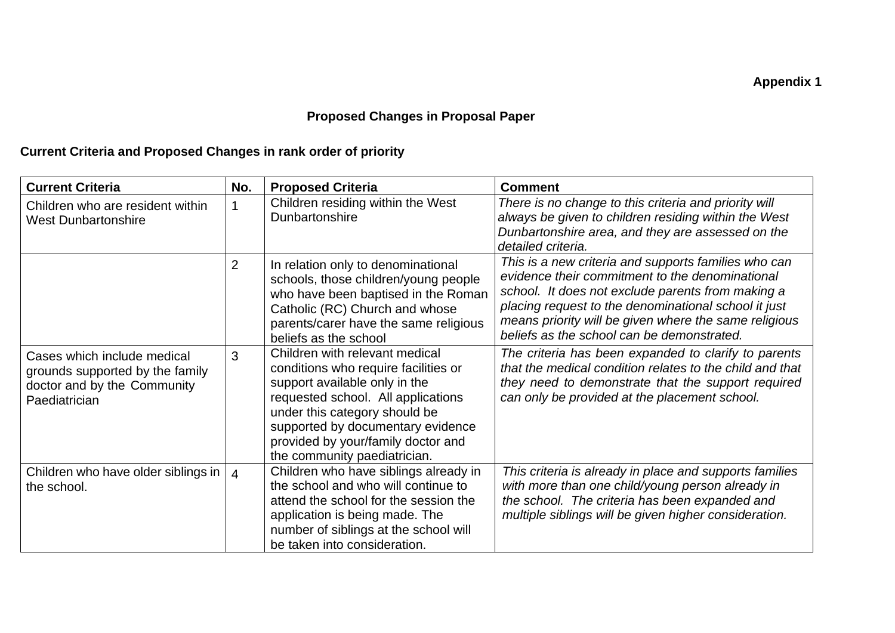## **Proposed Changes in Proposal Paper**

## **Current Criteria and Proposed Changes in rank order of priority**

| <b>Current Criteria</b>                                                                                        | No.            | <b>Proposed Criteria</b>                                                                                                                                                                                                                                                                  | <b>Comment</b>                                                                                                                                                                                                                                                                                                              |
|----------------------------------------------------------------------------------------------------------------|----------------|-------------------------------------------------------------------------------------------------------------------------------------------------------------------------------------------------------------------------------------------------------------------------------------------|-----------------------------------------------------------------------------------------------------------------------------------------------------------------------------------------------------------------------------------------------------------------------------------------------------------------------------|
| Children who are resident within<br><b>West Dunbartonshire</b>                                                 |                | Children residing within the West<br>Dunbartonshire                                                                                                                                                                                                                                       | There is no change to this criteria and priority will<br>always be given to children residing within the West<br>Dunbartonshire area, and they are assessed on the<br>detailed criteria.                                                                                                                                    |
|                                                                                                                | $\overline{2}$ | In relation only to denominational<br>schools, those children/young people<br>who have been baptised in the Roman<br>Catholic (RC) Church and whose<br>parents/carer have the same religious<br>beliefs as the school                                                                     | This is a new criteria and supports families who can<br>evidence their commitment to the denominational<br>school. It does not exclude parents from making a<br>placing request to the denominational school it just<br>means priority will be given where the same religious<br>beliefs as the school can be demonstrated. |
| Cases which include medical<br>grounds supported by the family<br>doctor and by the Community<br>Paediatrician | 3              | Children with relevant medical<br>conditions who require facilities or<br>support available only in the<br>requested school. All applications<br>under this category should be<br>supported by documentary evidence<br>provided by your/family doctor and<br>the community paediatrician. | The criteria has been expanded to clarify to parents<br>that the medical condition relates to the child and that<br>they need to demonstrate that the support required<br>can only be provided at the placement school.                                                                                                     |
| Children who have older siblings in<br>the school.                                                             | $\overline{4}$ | Children who have siblings already in<br>the school and who will continue to<br>attend the school for the session the<br>application is being made. The<br>number of siblings at the school will<br>be taken into consideration.                                                          | This criteria is already in place and supports families<br>with more than one child/young person already in<br>the school. The criteria has been expanded and<br>multiple siblings will be given higher consideration.                                                                                                      |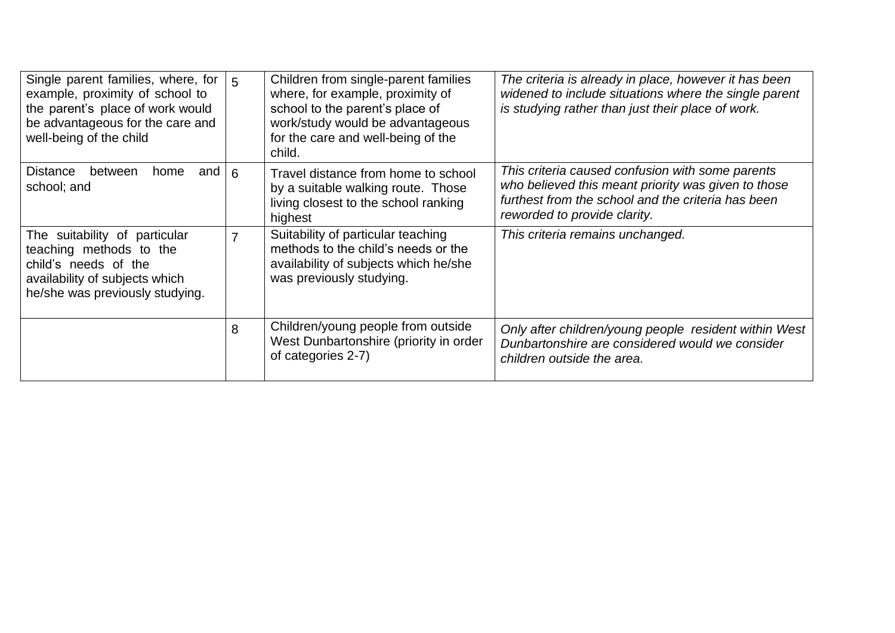| Single parent families, where, for<br>example, proximity of school to<br>the parent's place of work would<br>be advantageous for the care and<br>well-being of the child | 5 | Children from single-parent families<br>where, for example, proximity of<br>school to the parent's place of<br>work/study would be advantageous<br>for the care and well-being of the<br>child. | The criteria is already in place, however it has been<br>widened to include situations where the single parent<br>is studying rather than just their place of work.                           |
|--------------------------------------------------------------------------------------------------------------------------------------------------------------------------|---|-------------------------------------------------------------------------------------------------------------------------------------------------------------------------------------------------|-----------------------------------------------------------------------------------------------------------------------------------------------------------------------------------------------|
| <b>Distance</b><br>between<br>home<br>and<br>school; and                                                                                                                 | 6 | Travel distance from home to school<br>by a suitable walking route. Those<br>living closest to the school ranking<br>highest                                                                    | This criteria caused confusion with some parents<br>who believed this meant priority was given to those<br>furthest from the school and the criteria has been<br>reworded to provide clarity. |
| The suitability of particular<br>teaching methods to the<br>child's needs of the<br>availability of subjects which<br>he/she was previously studying.                    | 7 | Suitability of particular teaching<br>methods to the child's needs or the<br>availability of subjects which he/she<br>was previously studying.                                                  | This criteria remains unchanged.                                                                                                                                                              |
|                                                                                                                                                                          | 8 | Children/young people from outside<br>West Dunbartonshire (priority in order<br>of categories 2-7)                                                                                              | Only after children/young people resident within West<br>Dunbartonshire are considered would we consider<br>children outside the area.                                                        |